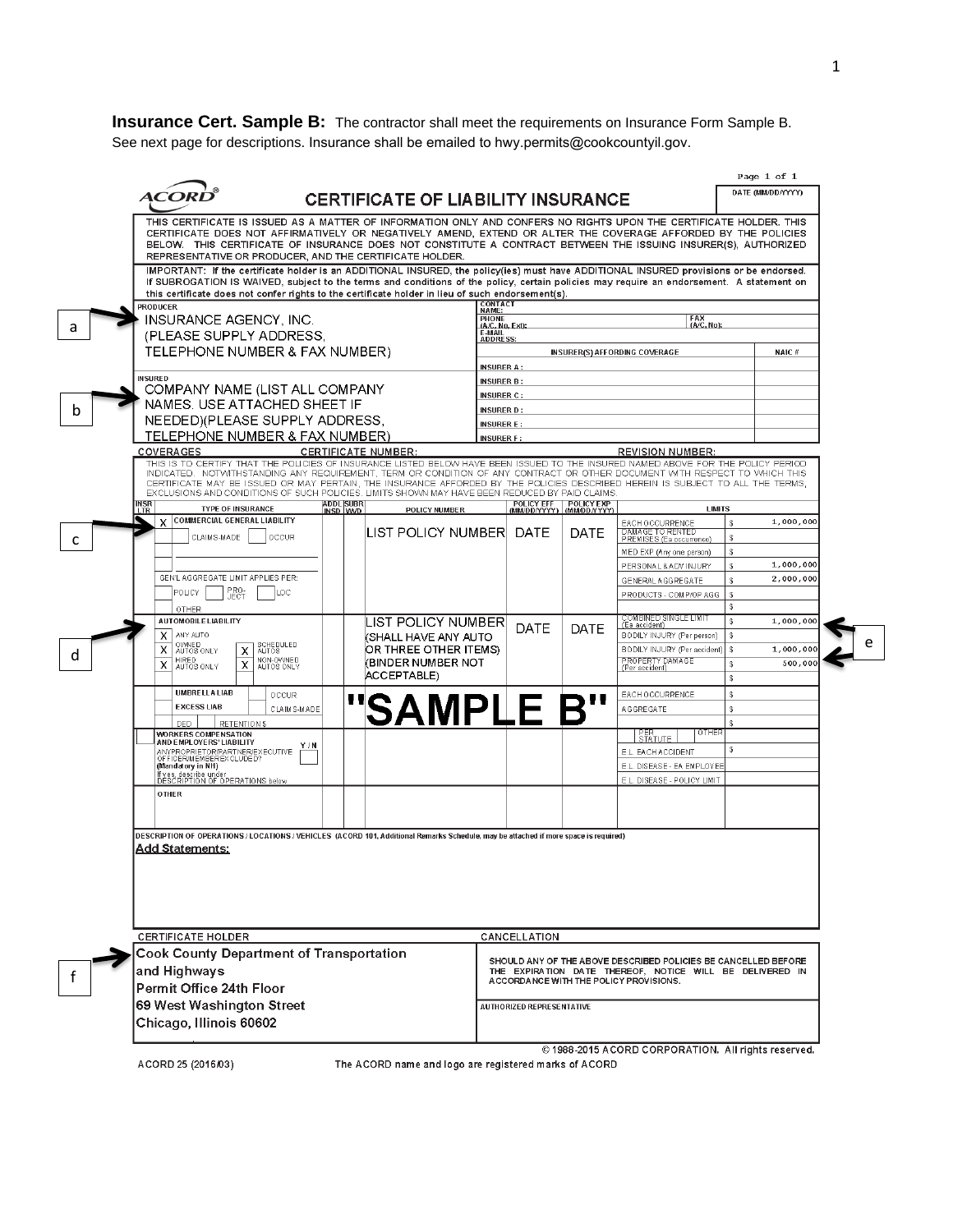**Insurance Cert. Sample B:** The contractor shall meet the requirements on Insurance Form Sample B. See next page for descriptions. Insurance shall be emailed to hwy.permits@cookcountyil.gov.

| ACOR                                                                                                                                                                                                                                                                                                                                                                                                                                                                                              |                                       | <b>CERTIFICATE OF LIABILITY INSURANCE</b>   |                            |                                         |                                                                                                                            | Page 1 of 1<br>DATE (MM/DD/YYYY)  |  |  |  |
|---------------------------------------------------------------------------------------------------------------------------------------------------------------------------------------------------------------------------------------------------------------------------------------------------------------------------------------------------------------------------------------------------------------------------------------------------------------------------------------------------|---------------------------------------|---------------------------------------------|----------------------------|-----------------------------------------|----------------------------------------------------------------------------------------------------------------------------|-----------------------------------|--|--|--|
| THIS CERTIFICATE IS ISSUED AS A MATTER OF INFORMATION ONLY AND CONFERS NO RIGHTS UPON THE CERTIFICATE HOLDER. THIS<br>CERTIFICATE DOES NOT AFFIRMATIVELY OR NEGATIVELY AMEND, EXTEND OR ALTER THE COVERAGE AFFORDED BY THE POLICIES<br>BELOW. THIS CERTIFICATE OF INSURANCE DOES NOT CONSTITUTE A CONTRACT BETWEEN THE ISSUING INSURER(S), AUTHORIZED<br>REPRESENTATIVE OR PRODUCER, AND THE CERTIFICATE HOLDER.                                                                                  |                                       |                                             |                            |                                         |                                                                                                                            |                                   |  |  |  |
| IMPORTANT: If the certificate holder is an ADDITIONAL INSURED, the policy(ies) must have ADDITIONAL INSURED provisions or be endorsed.<br>If SUBROGATION IS WAIVED, subject to the terms and conditions of the policy, certain policies may require an endorsement. A statement on<br>this certificate does not confer rights to the certificate holder in lieu of such endorsement(s).                                                                                                           |                                       |                                             |                            |                                         |                                                                                                                            |                                   |  |  |  |
| PRODUCER                                                                                                                                                                                                                                                                                                                                                                                                                                                                                          |                                       |                                             | CONTACT<br>NAME:<br>PHONE  |                                         | FAX<br>(A/C, No):                                                                                                          |                                   |  |  |  |
| <b>INSURANCE AGENCY, INC.</b><br>(PLEASE SUPPLY ADDRESS,                                                                                                                                                                                                                                                                                                                                                                                                                                          | (A/C, No, Ext);<br>E-MAIL<br>ADDRESS: |                                             |                            |                                         |                                                                                                                            |                                   |  |  |  |
| TELEPHONE NUMBER & FAX NUMBER)                                                                                                                                                                                                                                                                                                                                                                                                                                                                    |                                       | NAIC#                                       |                            |                                         |                                                                                                                            |                                   |  |  |  |
|                                                                                                                                                                                                                                                                                                                                                                                                                                                                                                   | <b>INSURER A:</b>                     |                                             |                            |                                         |                                                                                                                            |                                   |  |  |  |
| <b>INSURED</b><br>COMPANY NAME (LIST ALL COMPANY                                                                                                                                                                                                                                                                                                                                                                                                                                                  |                                       | <b>INSURER B:</b>                           |                            |                                         |                                                                                                                            |                                   |  |  |  |
| NAMES. USE ATTACHED SHEET IF                                                                                                                                                                                                                                                                                                                                                                                                                                                                      |                                       |                                             | <b>INSURER C:</b>          |                                         |                                                                                                                            |                                   |  |  |  |
| NEEDED)(PLEASE SUPPLY ADDRESS,                                                                                                                                                                                                                                                                                                                                                                                                                                                                    |                                       |                                             | <b>INSURER E:</b>          | <b>INSURER D:</b>                       |                                                                                                                            |                                   |  |  |  |
| TELEPHONE NUMBER & FAX NUMBER)                                                                                                                                                                                                                                                                                                                                                                                                                                                                    |                                       |                                             | <b>INSURER F:</b>          |                                         |                                                                                                                            |                                   |  |  |  |
| <b>COVERAGES</b>                                                                                                                                                                                                                                                                                                                                                                                                                                                                                  |                                       | <b>CERTIFICATE NUMBER:</b>                  |                            |                                         | <b>REVISION NUMBER:</b>                                                                                                    |                                   |  |  |  |
| THIS IS TO CERTIFY THAT THE POLICIES OF INSURANCE LISTED BELOW HAVE BEEN ISSUED TO THE INSURED NAMED ABOVE FOR THE POLICY PERIOD<br>INDICATED. NOTWITHSTANDING ANY REQUIREMENT, TERM OR CONDITION OF ANY CONTRACT OR OTHER DOCUMENT WITH RESPECT TO WHICH THIS<br>CERTIFICATE MAY BE ISSUED OR MAY PERTAIN, THE INSURANCE AFFORDED BY THE POLICIES DESCRIBED HEREIN IS SUBJECT TO ALL THE TERMS,<br>EXCLUSIONS AND CONDITIONS OF SUCH POLICIES, LIMITS SHOWN MAY HAVE BEEN REDUCED BY PAID CLAIMS |                                       |                                             |                            |                                         |                                                                                                                            |                                   |  |  |  |
| insr<br>Ltr<br><b>TYPE OF INSURANCE</b><br>X COMMERCIAL GENERAL LIABILITY                                                                                                                                                                                                                                                                                                                                                                                                                         | <b>ADDL</b> SUBR<br>INSD WWD          | POLICY NUMBER                               | POLICY EFF<br>(MM/DD/YYYY) | POLICY EXP<br>(MM/DD/YYYY)              | <b>LIMITS</b>                                                                                                              |                                   |  |  |  |
| CLAIMS-MADE<br><b>OCCUR</b>                                                                                                                                                                                                                                                                                                                                                                                                                                                                       |                                       | LIST POLICY NUMBERL                         | DATE                       | DATE                                    | EACH OCCURRENCE<br>DAMAGE TO RENTED<br>PREMISES (Ea occurrence)                                                            | 1,000,000<br>£.<br>$\mathfrak{F}$ |  |  |  |
|                                                                                                                                                                                                                                                                                                                                                                                                                                                                                                   |                                       |                                             |                            |                                         | MED EXP (Any one person)                                                                                                   | $\mathbf S$                       |  |  |  |
|                                                                                                                                                                                                                                                                                                                                                                                                                                                                                                   |                                       |                                             |                            |                                         | PERSONAL & ADV INJURY                                                                                                      | 1,000,000<br>s                    |  |  |  |
| GEN'L AGGREGATE LIMIT APPLIES PER:                                                                                                                                                                                                                                                                                                                                                                                                                                                                |                                       |                                             |                            |                                         | <b>GENERAL AGGREGATE</b>                                                                                                   | 2,000,000<br>\$.                  |  |  |  |
| PRO-<br>JECT<br>POLICY<br>LOC<br>OTHER:                                                                                                                                                                                                                                                                                                                                                                                                                                                           |                                       |                                             |                            |                                         | PRODUCTS - COMP/OP AGG                                                                                                     | $\sqrt[6]{3}$<br>s                |  |  |  |
| <b>AUTOMOBILE LIABILITY</b>                                                                                                                                                                                                                                                                                                                                                                                                                                                                       |                                       | LIST POLICY NUMBER                          | DATE                       | DATE                                    | COMBINED SINGLE LIMIT<br>(Ea accident)                                                                                     | 1,000,000                         |  |  |  |
| ANY AUTO<br>x<br>OWNED<br>AUTOS ONLY<br>SCHEDULED<br>AUTOS                                                                                                                                                                                                                                                                                                                                                                                                                                        |                                       | (SHALL HAVE ANY AUTO                        |                            |                                         | BODILY INJURY (Per person)                                                                                                 | £                                 |  |  |  |
| x<br>x<br>NON-OWNED<br>AUTOS ONLY<br>HIRED<br>AUTOS ONLY<br>X<br>x                                                                                                                                                                                                                                                                                                                                                                                                                                |                                       | OR THREE OTHER ITEMS)<br>(BINDER NUMBER NOT |                            |                                         | BODILY INJURY (Per accident)<br>PROPERTY DAMAGE                                                                            | 1,000,000<br>500,000<br>s         |  |  |  |
|                                                                                                                                                                                                                                                                                                                                                                                                                                                                                                   |                                       | ACCEPTABLE)                                 |                            |                                         | (Per accident)                                                                                                             | $\mathbf{F}$                      |  |  |  |
| <b>UMBRELLALIAB</b><br><b>OCCUR</b>                                                                                                                                                                                                                                                                                                                                                                                                                                                               |                                       |                                             |                            |                                         | EACH OCCURRENCE                                                                                                            | $\mathbf{\hat{x}}$                |  |  |  |
| <b>EXCESS LIAB</b><br>CLAIMS-MADE                                                                                                                                                                                                                                                                                                                                                                                                                                                                 |                                       | <b>SAMPLE B"</b>                            |                            |                                         | <b>AGGREGATE</b>                                                                                                           | \$                                |  |  |  |
| DED.<br><b>RETENTION \$</b><br><b>WORKERS COMPENSATION</b>                                                                                                                                                                                                                                                                                                                                                                                                                                        |                                       |                                             |                            |                                         | OTHER                                                                                                                      | $\mathbf{F}$                      |  |  |  |
| AND EMPLOYERS' LIABILITY<br>Y/N<br>ANYPROPRIETOR/PARTNER/EXECUTIVE                                                                                                                                                                                                                                                                                                                                                                                                                                |                                       |                                             |                            |                                         | <b>STATUTE</b><br>E.L. EACH ACCIDENT                                                                                       | \$                                |  |  |  |
| OFFICER/MEMBEREXCLUDED?<br>(Mandatory in NH)                                                                                                                                                                                                                                                                                                                                                                                                                                                      |                                       |                                             |                            |                                         | E.L. DISEASE - EA EMPLOYEE                                                                                                 |                                   |  |  |  |
| If yes, describe under<br>DESCRIPTION OF OPERATIONS below                                                                                                                                                                                                                                                                                                                                                                                                                                         |                                       |                                             |                            |                                         | E.L. DISEASE - POLICY UMIT                                                                                                 |                                   |  |  |  |
| <b>OTHER</b>                                                                                                                                                                                                                                                                                                                                                                                                                                                                                      |                                       |                                             |                            |                                         |                                                                                                                            |                                   |  |  |  |
|                                                                                                                                                                                                                                                                                                                                                                                                                                                                                                   |                                       |                                             |                            |                                         |                                                                                                                            |                                   |  |  |  |
| DESCRIPTION OF OPERATIONS / LOCATIONS / VEHICLES (ACORD 101, Additional Remarks Schedule, may be attached if more space is required)                                                                                                                                                                                                                                                                                                                                                              |                                       |                                             |                            |                                         |                                                                                                                            |                                   |  |  |  |
| <u>Add Statements:</u>                                                                                                                                                                                                                                                                                                                                                                                                                                                                            |                                       |                                             |                            |                                         |                                                                                                                            |                                   |  |  |  |
|                                                                                                                                                                                                                                                                                                                                                                                                                                                                                                   |                                       |                                             |                            |                                         |                                                                                                                            |                                   |  |  |  |
|                                                                                                                                                                                                                                                                                                                                                                                                                                                                                                   |                                       |                                             |                            |                                         |                                                                                                                            |                                   |  |  |  |
|                                                                                                                                                                                                                                                                                                                                                                                                                                                                                                   |                                       |                                             |                            |                                         |                                                                                                                            |                                   |  |  |  |
|                                                                                                                                                                                                                                                                                                                                                                                                                                                                                                   |                                       |                                             |                            |                                         |                                                                                                                            |                                   |  |  |  |
|                                                                                                                                                                                                                                                                                                                                                                                                                                                                                                   |                                       |                                             |                            |                                         |                                                                                                                            | CANCELLATION                      |  |  |  |
|                                                                                                                                                                                                                                                                                                                                                                                                                                                                                                   |                                       |                                             |                            |                                         |                                                                                                                            |                                   |  |  |  |
| <b>CERTIFICATE HOLDER</b>                                                                                                                                                                                                                                                                                                                                                                                                                                                                         |                                       |                                             |                            |                                         |                                                                                                                            |                                   |  |  |  |
| <b>Cook County Department of Transportation</b><br>and Highways                                                                                                                                                                                                                                                                                                                                                                                                                                   |                                       |                                             |                            | A CCORDANCE WITH THE POLICY PROVISIONS. | SHOULD ANY OF THE ABOVE DESCRIBED POLICIES BE CANCELLED BEFORE<br>THE EXPIRATION DATE THEREOF, NOTICE WILL BE DELIVERED IN |                                   |  |  |  |
| Permit Office 24th Floor<br>69 West Washington Street<br>Chicago, Illinois 60602                                                                                                                                                                                                                                                                                                                                                                                                                  |                                       |                                             | AUTHORIZED REPRESENTATIVE  |                                         |                                                                                                                            |                                   |  |  |  |

ACORD 25 (2016/03)

The ACORD name and logo are registered marks of ACORD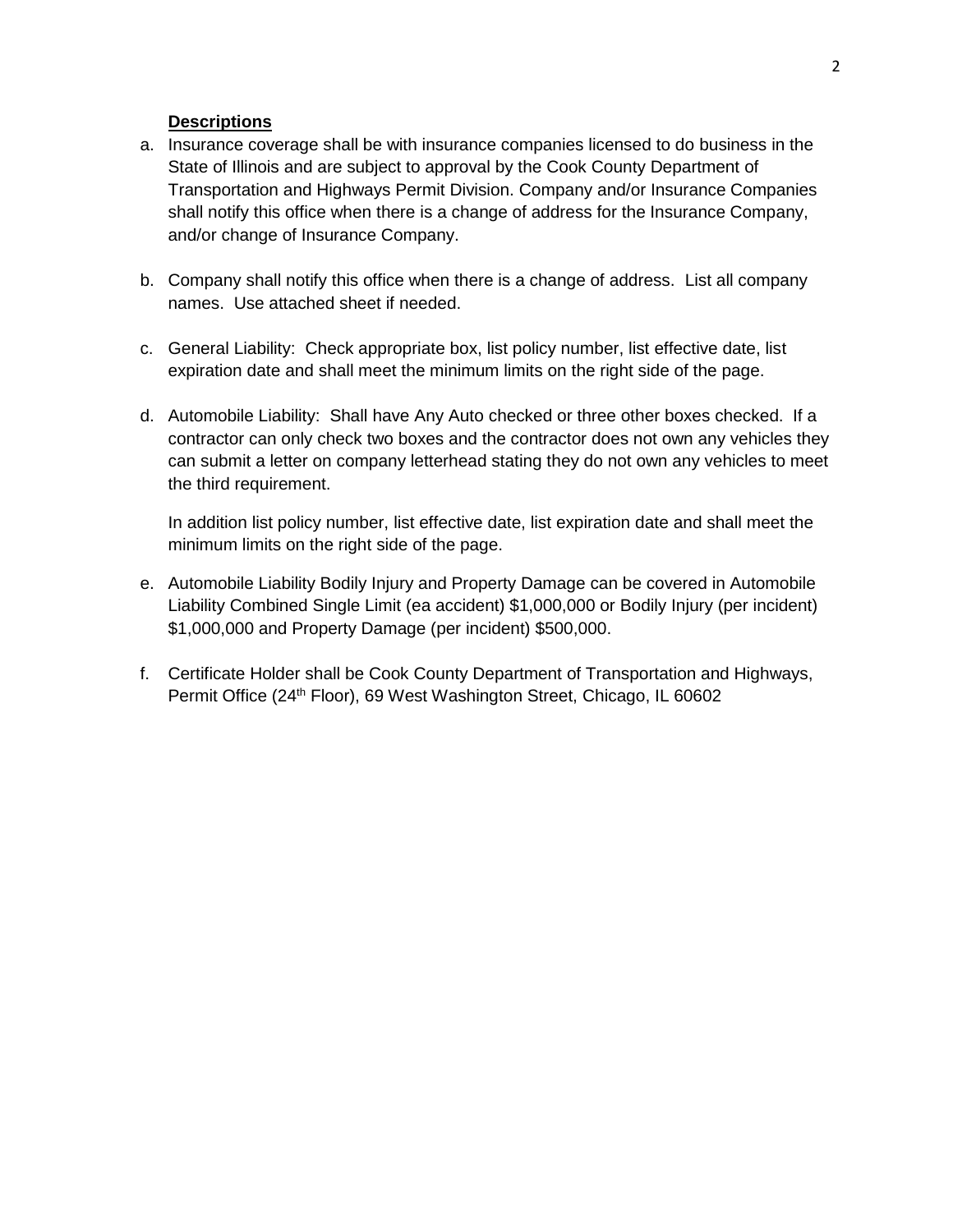## **Descriptions**

- a. Insurance coverage shall be with insurance companies licensed to do business in the State of Illinois and are subject to approval by the Cook County Department of Transportation and Highways Permit Division. Company and/or Insurance Companies shall notify this office when there is a change of address for the Insurance Company, and/or change of Insurance Company.
- b. Company shall notify this office when there is a change of address. List all company names. Use attached sheet if needed.
- c. General Liability: Check appropriate box, list policy number, list effective date, list expiration date and shall meet the minimum limits on the right side of the page.
- d. Automobile Liability: Shall have Any Auto checked or three other boxes checked. If a contractor can only check two boxes and the contractor does not own any vehicles they can submit a letter on company letterhead stating they do not own any vehicles to meet the third requirement.

In addition list policy number, list effective date, list expiration date and shall meet the minimum limits on the right side of the page.

- e. Automobile Liability Bodily Injury and Property Damage can be covered in Automobile Liability Combined Single Limit (ea accident) \$1,000,000 or Bodily Injury (per incident) \$1,000,000 and Property Damage (per incident) \$500,000.
- f. Certificate Holder shall be Cook County Department of Transportation and Highways, Permit Office (24<sup>th</sup> Floor), 69 West Washington Street, Chicago, IL 60602